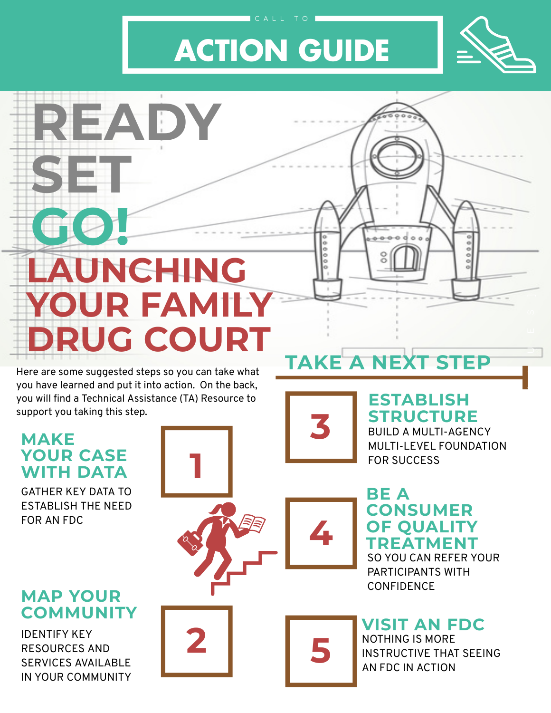## **TAKE A NEXT STEP**

**MAKE YOUR CASE WITH DATA**

GATHER KEY DATA TO ESTABLISH THE NEED FOR AN FDC

#### **MAP YOUR COMMUNITY**

IDENTIFY KEY RESOURCES AND SERVICES AVAILABLE IN YOUR COMMUNITY

#### **ESTABLISH STRUCTURE**



Here are some suggested steps so you can take what you have learned and put it into action. On the back, you will find a Technical Assistance (TA) Resource to support you taking this step.

A

L

 $\Box$ 

**4**







# **YOUR FAMILY DRUG COURT**





BUILD A MULTI-AGENCY MULTI-LEVEL FOUNDATION FOR SUCCESS

SO YOU CAN REFER YOUR PARTICIPANTS WITH CONFIDENCE